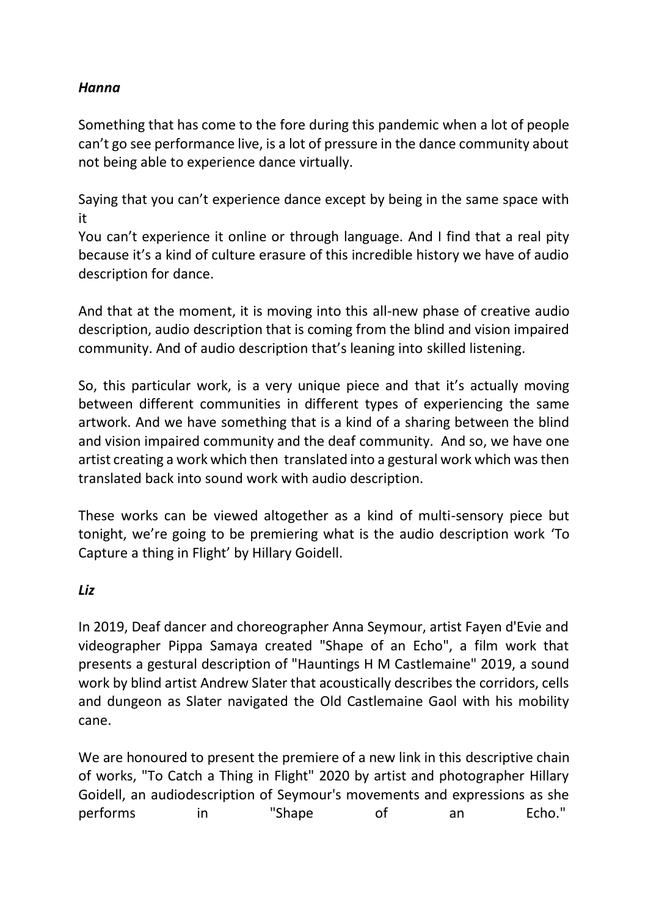## *Hanna*

Something that has come to the fore during this pandemic when a lot of people can't go see performance live, is a lot of pressure in the dance community about not being able to experience dance virtually.

Saying that you can't experience dance except by being in the same space with it

You can't experience it online or through language. And I find that a real pity because it's a kind of culture erasure of this incredible history we have of audio description for dance.

And that at the moment, it is moving into this all-new phase of creative audio description, audio description that is coming from the blind and vision impaired community. And of audio description that's leaning into skilled listening.

So, this particular work, is a very unique piece and that it's actually moving between different communities in different types of experiencing the same artwork. And we have something that is a kind of a sharing between the blind and vision impaired community and the deaf community. And so, we have one artist creating a work which then translated into a gestural work which was then translated back into sound work with audio description.

These works can be viewed altogether as a kind of multi-sensory piece but tonight, we're going to be premiering what is the audio description work 'To Capture a thing in Flight' by Hillary Goidell.

## *Liz*

In 2019, Deaf dancer and choreographer Anna Seymour, artist Fayen d'Evie and videographer Pippa Samaya created "Shape of an Echo", a film work that presents a gestural description of "Hauntings H M Castlemaine" 2019, a sound work by blind artist Andrew Slater that acoustically describes the corridors, cells and dungeon as Slater navigated the Old Castlemaine Gaol with his mobility cane.

We are honoured to present the premiere of a new link in this descriptive chain of works, "To Catch a Thing in Flight" 2020 by artist and photographer Hillary Goidell, an audiodescription of Seymour's movements and expressions as she performs in "Shape of an Echo."